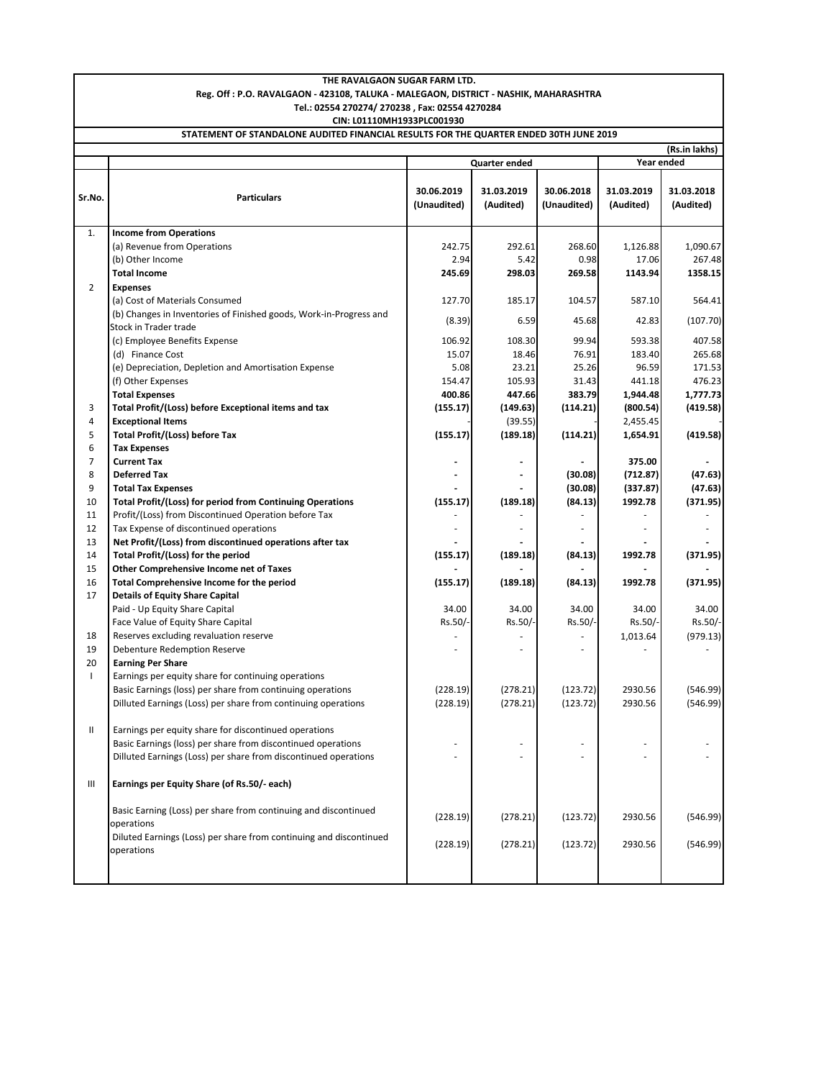| THE RAVALGAON SUGAR FARM LTD.                                                          |                                                                    |             |                      |             |            |               |  |  |  |  |  |
|----------------------------------------------------------------------------------------|--------------------------------------------------------------------|-------------|----------------------|-------------|------------|---------------|--|--|--|--|--|
| Reg. Off : P.O. RAVALGAON - 423108, TALUKA - MALEGAON, DISTRICT - NASHIK, MAHARASHTRA  |                                                                    |             |                      |             |            |               |  |  |  |  |  |
| Tel.: 02554 270274/ 270238, Fax: 02554 4270284                                         |                                                                    |             |                      |             |            |               |  |  |  |  |  |
| CIN: L01110MH1933PLC001930                                                             |                                                                    |             |                      |             |            |               |  |  |  |  |  |
| STATEMENT OF STANDALONE AUDITED FINANCIAL RESULTS FOR THE QUARTER ENDED 30TH JUNE 2019 |                                                                    |             |                      |             |            |               |  |  |  |  |  |
|                                                                                        |                                                                    |             |                      |             |            | (Rs.in lakhs) |  |  |  |  |  |
|                                                                                        |                                                                    |             | Quarter ended        | Year ended  |            |               |  |  |  |  |  |
|                                                                                        |                                                                    |             |                      |             |            |               |  |  |  |  |  |
| Sr.No.                                                                                 | <b>Particulars</b>                                                 | 30.06.2019  | 31.03.2019           | 30.06.2018  | 31.03.2019 | 31.03.2018    |  |  |  |  |  |
|                                                                                        |                                                                    | (Unaudited) | (Audited)            | (Unaudited) | (Audited)  | (Audited)     |  |  |  |  |  |
| 1.                                                                                     |                                                                    |             |                      |             |            |               |  |  |  |  |  |
|                                                                                        | <b>Income from Operations</b><br>(a) Revenue from Operations       | 242.75      | 292.61               | 268.60      | 1,126.88   | 1,090.67      |  |  |  |  |  |
|                                                                                        | (b) Other Income                                                   | 2.94        | 5.42                 | 0.98        | 17.06      | 267.48        |  |  |  |  |  |
|                                                                                        | <b>Total Income</b>                                                | 245.69      | 298.03               | 269.58      | 1143.94    | 1358.15       |  |  |  |  |  |
| $\overline{2}$                                                                         | <b>Expenses</b>                                                    |             |                      |             |            |               |  |  |  |  |  |
|                                                                                        | (a) Cost of Materials Consumed                                     | 127.70      | 185.17               | 104.57      | 587.10     | 564.41        |  |  |  |  |  |
|                                                                                        | (b) Changes in Inventories of Finished goods, Work-in-Progress and |             |                      |             |            |               |  |  |  |  |  |
|                                                                                        | Stock in Trader trade                                              | (8.39)      | 6.59                 | 45.68       | 42.83      | (107.70)      |  |  |  |  |  |
|                                                                                        | (c) Employee Benefits Expense                                      | 106.92      | 108.30               | 99.94       | 593.38     | 407.58        |  |  |  |  |  |
|                                                                                        | (d) Finance Cost                                                   | 15.07       | 18.46                | 76.91       | 183.40     | 265.68        |  |  |  |  |  |
|                                                                                        | (e) Depreciation, Depletion and Amortisation Expense               | 5.08        | 23.21                | 25.26       | 96.59      | 171.53        |  |  |  |  |  |
|                                                                                        | (f) Other Expenses                                                 | 154.47      | 105.93               | 31.43       | 441.18     | 476.23        |  |  |  |  |  |
|                                                                                        | <b>Total Expenses</b>                                              | 400.86      | 447.66               | 383.79      | 1,944.48   | 1,777.73      |  |  |  |  |  |
| 3                                                                                      | Total Profit/(Loss) before Exceptional items and tax               | (155.17)    | (149.63)             | (114.21)    | (800.54)   | (419.58)      |  |  |  |  |  |
| 4                                                                                      | <b>Exceptional Items</b>                                           |             | (39.55)              |             | 2,455.45   |               |  |  |  |  |  |
| 5                                                                                      | <b>Total Profit/(Loss) before Tax</b>                              | (155.17)    | (189.18)             | (114.21)    | 1,654.91   | (419.58)      |  |  |  |  |  |
| 6                                                                                      | <b>Tax Expenses</b>                                                |             |                      |             |            |               |  |  |  |  |  |
| 7                                                                                      | <b>Current Tax</b>                                                 |             | ٠                    |             | 375.00     |               |  |  |  |  |  |
| 8                                                                                      | <b>Deferred Tax</b>                                                |             |                      | (30.08)     | (712.87)   | (47.63)       |  |  |  |  |  |
| 9                                                                                      | <b>Total Tax Expenses</b>                                          |             |                      | (30.08)     | (337.87)   | (47.63)       |  |  |  |  |  |
| 10                                                                                     | Total Profit/(Loss) for period from Continuing Operations          | (155.17)    | (189.18)             | (84.13)     | 1992.78    | (371.95)      |  |  |  |  |  |
| 11                                                                                     | Profit/(Loss) from Discontinued Operation before Tax               |             |                      |             |            |               |  |  |  |  |  |
| 12                                                                                     | Tax Expense of discontinued operations                             |             |                      | ä,          |            |               |  |  |  |  |  |
| 13                                                                                     | Net Profit/(Loss) from discontinued operations after tax           |             |                      |             |            |               |  |  |  |  |  |
| 14                                                                                     | Total Profit/(Loss) for the period                                 | (155.17)    | (189.18)             | (84.13)     | 1992.78    | (371.95)      |  |  |  |  |  |
| 15                                                                                     | Other Comprehensive Income net of Taxes                            |             |                      |             |            |               |  |  |  |  |  |
| 16                                                                                     | Total Comprehensive Income for the period                          | (155.17)    | (189.18)             | (84.13)     | 1992.78    | (371.95)      |  |  |  |  |  |
| 17                                                                                     | <b>Details of Equity Share Capital</b>                             |             |                      |             |            |               |  |  |  |  |  |
|                                                                                        | Paid - Up Equity Share Capital                                     | 34.00       | 34.00                | 34.00       | 34.00      | 34.00         |  |  |  |  |  |
|                                                                                        | Face Value of Equity Share Capital                                 | Rs.50/-     | Rs.50/-              | Rs.50/-     | Rs.50/-    | Rs.50/-       |  |  |  |  |  |
| 18                                                                                     | Reserves excluding revaluation reserve                             |             |                      |             | 1,013.64   | (979.13)      |  |  |  |  |  |
| 19                                                                                     | Debenture Redemption Reserve                                       |             |                      | ٠           |            |               |  |  |  |  |  |
| 20                                                                                     | <b>Earning Per Share</b>                                           |             |                      |             |            |               |  |  |  |  |  |
| $\mathbf{I}$                                                                           | Earnings per equity share for continuing operations                |             |                      |             |            |               |  |  |  |  |  |
|                                                                                        | Basic Earnings (loss) per share from continuing operations         | (228.19)    | (278.21)<br>(278.21) | (123.72)    | 2930.56    | (546.99)      |  |  |  |  |  |
|                                                                                        | Dilluted Earnings (Loss) per share from continuing operations      | (228.19)    |                      | (123.72)    | 2930.56    | (546.99)      |  |  |  |  |  |
| Ш                                                                                      | Earnings per equity share for discontinued operations              |             |                      |             |            |               |  |  |  |  |  |
|                                                                                        | Basic Earnings (loss) per share from discontinued operations       |             |                      |             |            |               |  |  |  |  |  |
|                                                                                        | Dilluted Earnings (Loss) per share from discontinued operations    |             |                      |             |            |               |  |  |  |  |  |
|                                                                                        |                                                                    |             |                      |             |            |               |  |  |  |  |  |
| Ш                                                                                      | Earnings per Equity Share (of Rs.50/- each)                        |             |                      |             |            |               |  |  |  |  |  |
|                                                                                        |                                                                    |             |                      |             |            |               |  |  |  |  |  |
|                                                                                        | Basic Earning (Loss) per share from continuing and discontinued    |             |                      |             |            |               |  |  |  |  |  |
|                                                                                        | operations                                                         | (228.19)    | (278.21)             | (123.72)    | 2930.56    | (546.99)      |  |  |  |  |  |
|                                                                                        | Diluted Earnings (Loss) per share from continuing and discontinued |             |                      |             |            |               |  |  |  |  |  |
|                                                                                        | operations                                                         | (228.19)    | (278.21)             | (123.72)    | 2930.56    | (546.99)      |  |  |  |  |  |
|                                                                                        |                                                                    |             |                      |             |            |               |  |  |  |  |  |
|                                                                                        |                                                                    |             |                      |             |            |               |  |  |  |  |  |